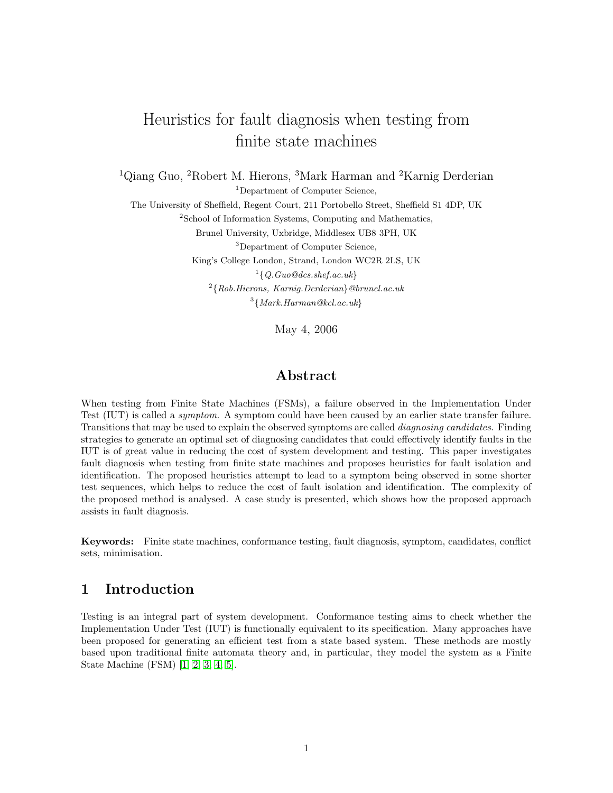# Heuristics for fault diagnosis when testing from finite state machines

<sup>1</sup>Qiang Guo, <sup>2</sup>Robert M. Hierons, <sup>3</sup>Mark Harman and <sup>2</sup>Karnig Derderian <sup>1</sup>Department of Computer Science,

The University of Sheffield, Regent Court, 211 Portobello Street, Sheffield S1 4DP, UK <sup>2</sup>School of Information Systems, Computing and Mathematics, Brunel University, Uxbridge, Middlesex UB8 3PH, UK

<sup>3</sup>Department of Computer Science,

King's College London, Strand, London WC2R 2LS, UK

 $\{Q.Guo@dcs. shef.ac.uk\}$ 

 $^{2}\{Rob. Hierns, \ Karnig. Derderian\}$  @brunel.ac.uk  $3\{Mark.Harman@kcl.ac.uk\}$ 

May 4, 2006

# Abstract

When testing from Finite State Machines (FSMs), a failure observed in the Implementation Under Test (IUT) is called a symptom. A symptom could have been caused by an earlier state transfer failure. Transitions that may be used to explain the observed symptoms are called *diagnosing candidates*. Finding strategies to generate an optimal set of diagnosing candidates that could effectively identify faults in the IUT is of great value in reducing the cost of system development and testing. This paper investigates fault diagnosis when testing from finite state machines and proposes heuristics for fault isolation and identification. The proposed heuristics attempt to lead to a symptom being observed in some shorter test sequences, which helps to reduce the cost of fault isolation and identification. The complexity of the proposed method is analysed. A case study is presented, which shows how the proposed approach assists in fault diagnosis.

Keywords: Finite state machines, conformance testing, fault diagnosis, symptom, candidates, conflict sets, minimisation.

# 1 Introduction

Testing is an integral part of system development. Conformance testing aims to check whether the Implementation Under Test (IUT) is functionally equivalent to its specification. Many approaches have been proposed for generating an efficient test from a state based system. These methods are mostly based upon traditional finite automata theory and, in particular, they model the system as a Finite State Machine (FSM) [\[1,](#page-14-0) [2,](#page-14-1) [3,](#page-14-2) [4,](#page-14-3) [5\]](#page-14-4).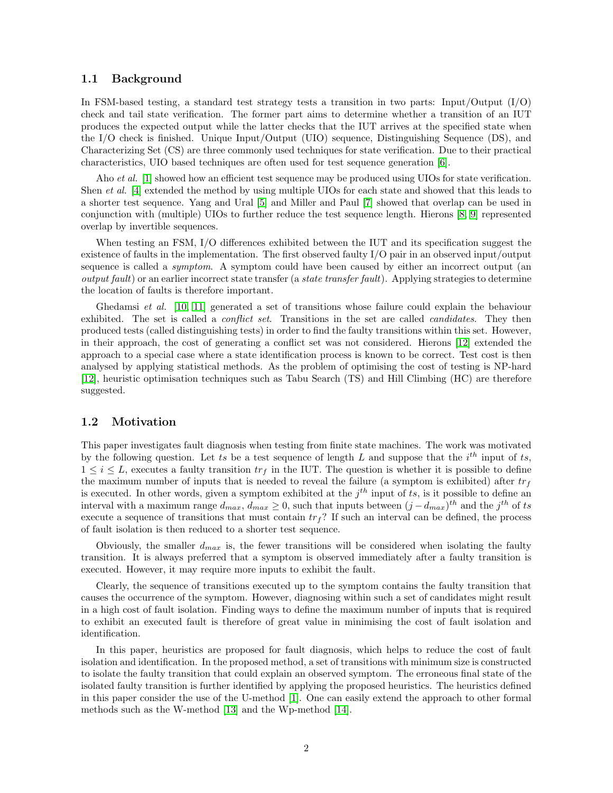#### 1.1 Background

In FSM-based testing, a standard test strategy tests a transition in two parts: Input/Output  $(I/O)$ check and tail state verification. The former part aims to determine whether a transition of an IUT produces the expected output while the latter checks that the IUT arrives at the specified state when the I/O check is finished. Unique Input/Output (UIO) sequence, Distinguishing Sequence (DS), and Characterizing Set (CS) are three commonly used techniques for state verification. Due to their practical characteristics, UIO based techniques are often used for test sequence generation [\[6\]](#page-14-5).

Aho *et al.* [\[1\]](#page-14-0) showed how an efficient test sequence may be produced using UIOs for state verification. Shen et al. [\[4\]](#page-14-3) extended the method by using multiple UIOs for each state and showed that this leads to a shorter test sequence. Yang and Ural [\[5\]](#page-14-4) and Miller and Paul [\[7\]](#page-14-6) showed that overlap can be used in conjunction with (multiple) UIOs to further reduce the test sequence length. Hierons [\[8,](#page-14-7) [9\]](#page-14-8) represented overlap by invertible sequences.

When testing an FSM, I/O differences exhibited between the IUT and its specification suggest the existence of faults in the implementation. The first observed faulty I/O pair in an observed input/output sequence is called a *symptom*. A symptom could have been caused by either an incorrect output (an  $output$  fault) or an earlier incorrect state transfer (a state transfer fault). Applying strategies to determine the location of faults is therefore important.

Ghedamsi et al. [\[10,](#page-14-9) [11\]](#page-14-10) generated a set of transitions whose failure could explain the behaviour exhibited. The set is called a *conflict set*. Transitions in the set are called *candidates*. They then produced tests (called distinguishing tests) in order to find the faulty transitions within this set. However, in their approach, the cost of generating a conflict set was not considered. Hierons [\[12\]](#page-14-11) extended the approach to a special case where a state identification process is known to be correct. Test cost is then analysed by applying statistical methods. As the problem of optimising the cost of testing is NP-hard [\[12\]](#page-14-11), heuristic optimisation techniques such as Tabu Search (TS) and Hill Climbing (HC) are therefore suggested.

#### 1.2 Motivation

This paper investigates fault diagnosis when testing from finite state machines. The work was motivated by the following question. Let ts be a test sequence of length L and suppose that the  $i^{th}$  input of ts,  $1 \leq i \leq L$ , executes a faulty transition  $tr_f$  in the IUT. The question is whether it is possible to define the maximum number of inputs that is needed to reveal the failure (a symptom is exhibited) after  $tr_f$ is executed. In other words, given a symptom exhibited at the  $j<sup>th</sup>$  input of ts, is it possible to define an interval with a maximum range  $d_{max}$ ,  $d_{max} \ge 0$ , such that inputs between  $(j - d_{max})^{th}$  and the  $j^{th}$  of ts execute a sequence of transitions that must contain  $tr_f$ ? If such an interval can be defined, the process of fault isolation is then reduced to a shorter test sequence.

Obviously, the smaller  $d_{max}$  is, the fewer transitions will be considered when isolating the faulty transition. It is always preferred that a symptom is observed immediately after a faulty transition is executed. However, it may require more inputs to exhibit the fault.

Clearly, the sequence of transitions executed up to the symptom contains the faulty transition that causes the occurrence of the symptom. However, diagnosing within such a set of candidates might result in a high cost of fault isolation. Finding ways to define the maximum number of inputs that is required to exhibit an executed fault is therefore of great value in minimising the cost of fault isolation and identification.

In this paper, heuristics are proposed for fault diagnosis, which helps to reduce the cost of fault isolation and identification. In the proposed method, a set of transitions with minimum size is constructed to isolate the faulty transition that could explain an observed symptom. The erroneous final state of the isolated faulty transition is further identified by applying the proposed heuristics. The heuristics defined in this paper consider the use of the U-method [\[1\]](#page-14-0). One can easily extend the approach to other formal methods such as the W-method [\[13\]](#page-14-12) and the Wp-method [\[14\]](#page-14-13).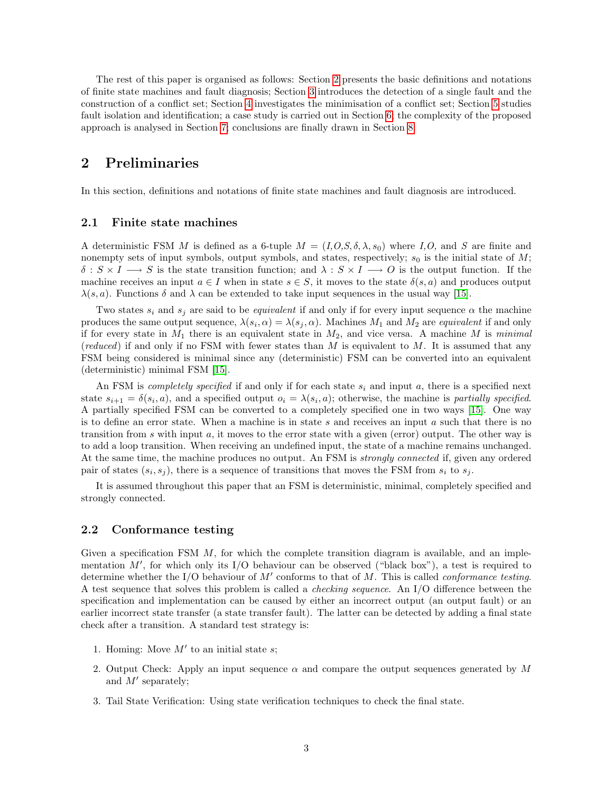The rest of this paper is organised as follows: Section [2](#page-2-0) presents the basic definitions and notations of finite state machines and fault diagnosis; Section [3](#page-3-0) introduces the detection of a single fault and the construction of a conflict set; Section [4](#page-4-0) investigates the minimisation of a conflict set; Section [5](#page-8-0) studies fault isolation and identification; a case study is carried out in Section [6;](#page-9-0) the complexity of the proposed approach is analysed in Section [7;](#page-12-0) conclusions are finally drawn in Section [8.](#page-13-0)

# <span id="page-2-0"></span>2 Preliminaries

In this section, definitions and notations of finite state machines and fault diagnosis are introduced.

### 2.1 Finite state machines

A deterministic FSM M is defined as a 6-tuple  $M = (I, O, S, \delta, \lambda, s_0)$  where I,O, and S are finite and nonempty sets of input symbols, output symbols, and states, respectively;  $s_0$  is the initial state of M;  $\delta: S \times I \longrightarrow S$  is the state transition function; and  $\lambda: S \times I \longrightarrow O$  is the output function. If the machine receives an input  $a \in I$  when in state  $s \in S$ , it moves to the state  $\delta(s, a)$  and produces output  $\lambda(s, a)$ . Functions  $\delta$  and  $\lambda$  can be extended to take input sequences in the usual way [\[15\]](#page-14-14).

Two states  $s_i$  and  $s_j$  are said to be *equivalent* if and only if for every input sequence  $\alpha$  the machine produces the same output sequence,  $\lambda(s_i, \alpha) = \lambda(s_j, \alpha)$ . Machines  $M_1$  and  $M_2$  are *equivalent* if and only if for every state in  $M_1$  there is an equivalent state in  $M_2$ , and vice versa. A machine M is minimal (reduced) if and only if no FSM with fewer states than  $M$  is equivalent to  $M$ . It is assumed that any FSM being considered is minimal since any (deterministic) FSM can be converted into an equivalent (deterministic) minimal FSM [\[15\]](#page-14-14).

An FSM is *completely specified* if and only if for each state  $s_i$  and input a, there is a specified next state  $s_{i+1} = \delta(s_i, a)$ , and a specified output  $o_i = \lambda(s_i, a)$ ; otherwise, the machine is partially specified. A partially specified FSM can be converted to a completely specified one in two ways [\[15\]](#page-14-14). One way is to define an error state. When a machine is in state s and receives an input  $a$  such that there is no transition from s with input  $a$ , it moves to the error state with a given (error) output. The other way is to add a loop transition. When receiving an undefined input, the state of a machine remains unchanged. At the same time, the machine produces no output. An FSM is *strongly connected* if, given any ordered pair of states  $(s_i, s_j)$ , there is a sequence of transitions that moves the FSM from  $s_i$  to  $s_j$ .

It is assumed throughout this paper that an FSM is deterministic, minimal, completely specified and strongly connected.

### 2.2 Conformance testing

Given a specification FSM  $M$ , for which the complete transition diagram is available, and an implementation  $M'$ , for which only its I/O behaviour can be observed ("black box"), a test is required to determine whether the I/O behaviour of  $M'$  conforms to that of  $M$ . This is called *conformance testing*. A test sequence that solves this problem is called a checking sequence. An I/O difference between the specification and implementation can be caused by either an incorrect output (an output fault) or an earlier incorrect state transfer (a state transfer fault). The latter can be detected by adding a final state check after a transition. A standard test strategy is:

- 1. Homing: Move  $M'$  to an initial state s;
- 2. Output Check: Apply an input sequence  $\alpha$  and compare the output sequences generated by M and  $M'$  separately;
- 3. Tail State Verification: Using state verification techniques to check the final state.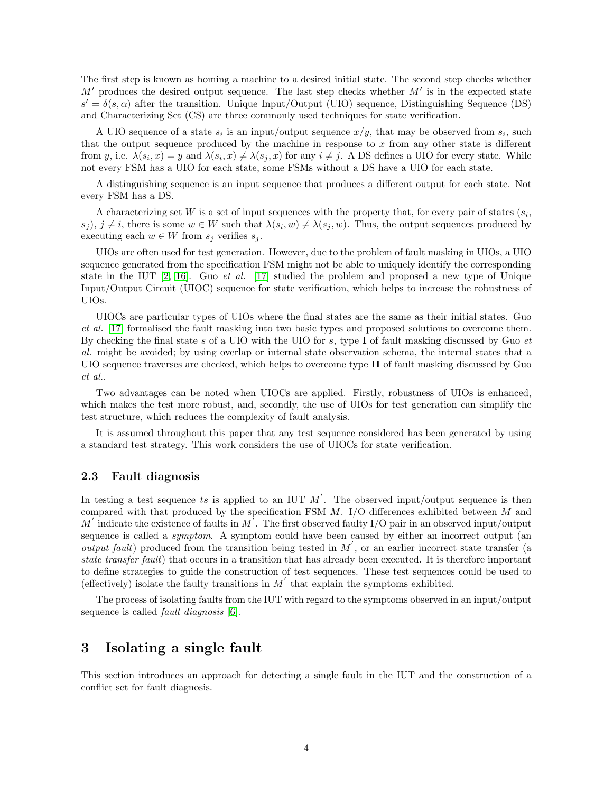The first step is known as homing a machine to a desired initial state. The second step checks whether  $M'$  produces the desired output sequence. The last step checks whether  $M'$  is in the expected state  $s' = \delta(s, \alpha)$  after the transition. Unique Input/Output (UIO) sequence, Distinguishing Sequence (DS) and Characterizing Set (CS) are three commonly used techniques for state verification.

A UIO sequence of a state  $s_i$  is an input/output sequence  $x/y$ , that may be observed from  $s_i$ , such that the output sequence produced by the machine in response to  $x$  from any other state is different from y, i.e.  $\lambda(s_i, x) = y$  and  $\lambda(s_i, x) \neq \lambda(s_j, x)$  for any  $i \neq j$ . A DS defines a UIO for every state. While not every FSM has a UIO for each state, some FSMs without a DS have a UIO for each state.

A distinguishing sequence is an input sequence that produces a different output for each state. Not every FSM has a DS.

A characterizing set W is a set of input sequences with the property that, for every pair of states  $(s_i,$  $(s_j)$ ,  $j \neq i$ , there is some  $w \in W$  such that  $\lambda(s_i, w) \neq \lambda(s_j, w)$ . Thus, the output sequences produced by executing each  $w \in W$  from  $s_j$  verifies  $s_j$ .

UIOs are often used for test generation. However, due to the problem of fault masking in UIOs, a UIO sequence generated from the specification FSM might not be able to uniquely identify the corresponding state in the IUT  $[2, 16]$  $[2, 16]$ . Guo *et al.* [\[17\]](#page-15-0) studied the problem and proposed a new type of Unique Input/Output Circuit (UIOC) sequence for state verification, which helps to increase the robustness of UIOs.

UIOCs are particular types of UIOs where the final states are the same as their initial states. Guo et al. [\[17\]](#page-15-0) formalised the fault masking into two basic types and proposed solutions to overcome them. By checking the final state s of a UIO with the UIO for s, type I of fault masking discussed by Guo  $et$ al. might be avoided; by using overlap or internal state observation schema, the internal states that a UIO sequence traverses are checked, which helps to overcome type II of fault masking discussed by Guo et al..

Two advantages can be noted when UIOCs are applied. Firstly, robustness of UIOs is enhanced, which makes the test more robust, and, secondly, the use of UIOs for test generation can simplify the test structure, which reduces the complexity of fault analysis.

It is assumed throughout this paper that any test sequence considered has been generated by using a standard test strategy. This work considers the use of UIOCs for state verification.

### 2.3 Fault diagnosis

In testing a test sequence ts is applied to an IUT  $M'$ . The observed input/output sequence is then compared with that produced by the specification FSM  $M$ . I/O differences exhibited between  $M$  and M' indicate the existence of faults in  $M$ . The first observed faulty I/O pair in an observed input/output sequence is called a *symptom*. A symptom could have been caused by either an incorrect output (an output fault) produced from the transition being tested in  $M'$ , or an earlier incorrect state transfer (a state transfer fault) that occurs in a transition that has already been executed. It is therefore important to define strategies to guide the construction of test sequences. These test sequences could be used to (effectively) isolate the faulty transitions in  $M'$  that explain the symptoms exhibited.

The process of isolating faults from the IUT with regard to the symptoms observed in an input/output sequence is called *fault diagnosis* [\[6\]](#page-14-5).

# <span id="page-3-0"></span>3 Isolating a single fault

This section introduces an approach for detecting a single fault in the IUT and the construction of a conflict set for fault diagnosis.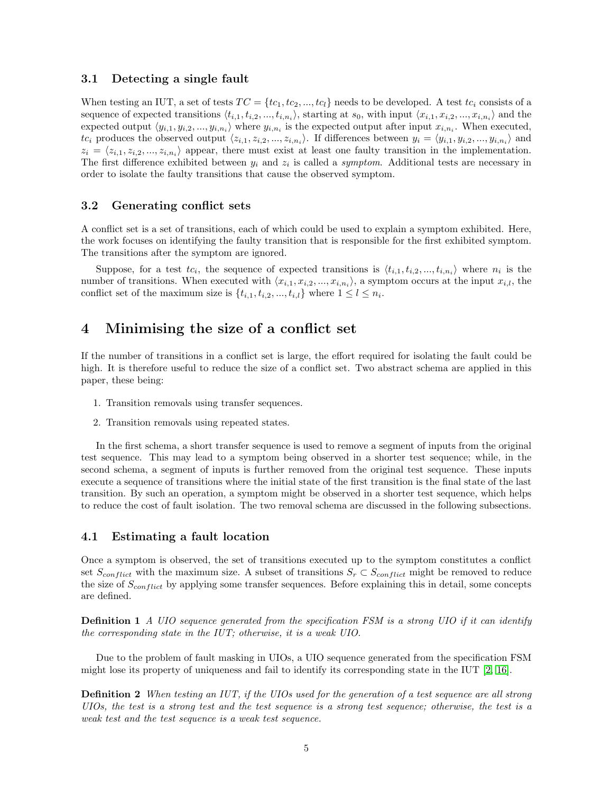### 3.1 Detecting a single fault

When testing an IUT, a set of tests  $TC = \{tc_1, tc_2, ..., tc_l\}$  needs to be developed. A test  $tc_i$  consists of a sequence of expected transitions  $\langle t_{i,1}, t_{i,2},..., t_{i,n_i}\rangle$ , starting at  $s_0$ , with input  $\langle x_{i,1}, x_{i,2},..., x_{i,n_i}\rangle$  and the expected output  $\langle y_{i,1}, y_{i,2}, ..., y_{i,n_i} \rangle$  where  $y_{i,n_i}$  is the expected output after input  $x_{i,n_i}$ . When executed,  $tc_i$  produces the observed output  $\langle z_{i,1}, z_{i,2},..., z_{i,n_i}\rangle$ . If differences between  $y_i = \langle y_{i,1}, y_{i,2},..., y_{i,n_i}\rangle$  and  $z_i = \langle z_{i,1}, z_{i,2}, ..., z_{i,n_i} \rangle$  appear, there must exist at least one faulty transition in the implementation. The first difference exhibited between  $y_i$  and  $z_i$  is called a *symptom*. Additional tests are necessary in order to isolate the faulty transitions that cause the observed symptom.

# 3.2 Generating conflict sets

A conflict set is a set of transitions, each of which could be used to explain a symptom exhibited. Here, the work focuses on identifying the faulty transition that is responsible for the first exhibited symptom. The transitions after the symptom are ignored.

Suppose, for a test  $tc_i$ , the sequence of expected transitions is  $\langle t_{i,1}, t_{i,2}, ..., t_{i,n_i} \rangle$  where  $n_i$  is the number of transitions. When executed with  $\langle x_{i,1}, x_{i,2}, ..., x_{i,n_i} \rangle$ , a symptom occurs at the input  $x_{i,l}$ , the conflict set of the maximum size is  $\{t_{i,1}, t_{i,2}, ..., t_{i,l}\}$  where  $1 \leq l \leq n_i$ .

# <span id="page-4-0"></span>4 Minimising the size of a conflict set

If the number of transitions in a conflict set is large, the effort required for isolating the fault could be high. It is therefore useful to reduce the size of a conflict set. Two abstract schema are applied in this paper, these being:

- 1. Transition removals using transfer sequences.
- 2. Transition removals using repeated states.

In the first schema, a short transfer sequence is used to remove a segment of inputs from the original test sequence. This may lead to a symptom being observed in a shorter test sequence; while, in the second schema, a segment of inputs is further removed from the original test sequence. These inputs execute a sequence of transitions where the initial state of the first transition is the final state of the last transition. By such an operation, a symptom might be observed in a shorter test sequence, which helps to reduce the cost of fault isolation. The two removal schema are discussed in the following subsections.

### 4.1 Estimating a fault location

Once a symptom is observed, the set of transitions executed up to the symptom constitutes a conflict set  $S_{conflict}$  with the maximum size. A subset of transitions  $S_r \subset S_{conflict}$  might be removed to reduce the size of  $S_{conflict}$  by applying some transfer sequences. Before explaining this in detail, some concepts are defined.

**Definition 1** A UIO sequence generated from the specification FSM is a strong UIO if it can identify the corresponding state in the IUT; otherwise, it is a weak UIO.

Due to the problem of fault masking in UIOs, a UIO sequence generated from the specification FSM might lose its property of uniqueness and fail to identify its corresponding state in the IUT [\[2,](#page-14-1) [16\]](#page-14-15).

Definition 2 When testing an IUT, if the UIOs used for the generation of a test sequence are all strong UIOs, the test is a strong test and the test sequence is a strong test sequence; otherwise, the test is a weak test and the test sequence is a weak test sequence.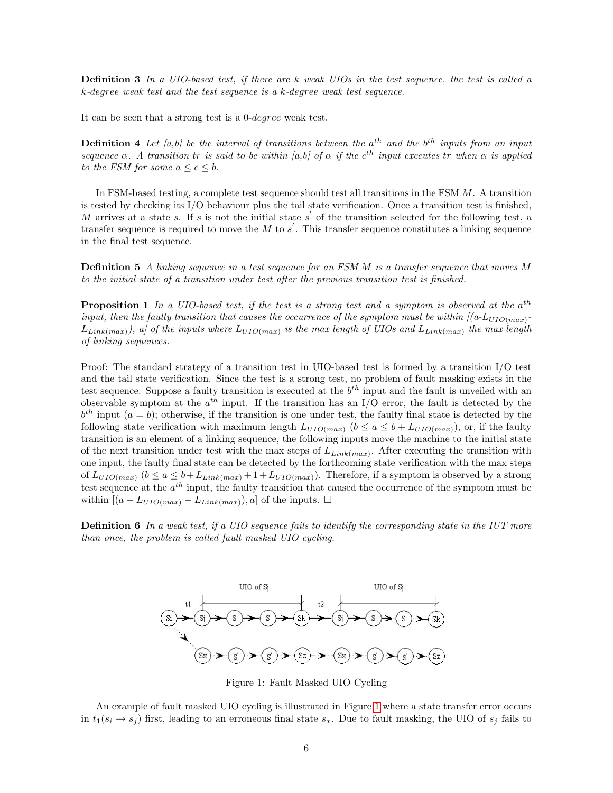**Definition 3** In a UIO-based test, if there are k weak UIOs in the test sequence, the test is called a k-degree weak test and the test sequence is a k-degree weak test sequence.

It can be seen that a strong test is a 0-degree weak test.

**Definition 4** Let [a,b] be the interval of transitions between the  $a^{th}$  and the  $b^{th}$  inputs from an input sequence  $\alpha$ . A transition tr is said to be within [a,b] of  $\alpha$  if the c<sup>th</sup> input executes tr when  $\alpha$  is applied to the FSM for some  $a \leq c \leq b$ .

In FSM-based testing, a complete test sequence should test all transitions in the FSM M. A transition is tested by checking its I/O behaviour plus the tail state verification. Once a transition test is finished, M arrives at a state s. If s is not the initial state s' of the transition selected for the following test, a transfer sequence is required to move the M to  $s'$ . This transfer sequence constitutes a linking sequence in the final test sequence.

**Definition 5** A linking sequence in a test sequence for an FSM M is a transfer sequence that moves M to the initial state of a transition under test after the previous transition test is finished.

<span id="page-5-1"></span>**Proposition 1** In a UIO-based test, if the test is a strong test and a symptom is observed at the  $a^{th}$ input, then the faulty transition that causes the occurrence of the symptom must be within  $[(a\text{-}L_{UIO(max)}\text{-}$  $L_{Link(max)}$ ), a] of the inputs where  $L_{UIO(max)}$  is the max length of UIOs and  $L_{Link(max)}$  the max length of linking sequences.

Proof: The standard strategy of a transition test in UIO-based test is formed by a transition I/O test and the tail state verification. Since the test is a strong test, no problem of fault masking exists in the test sequence. Suppose a faulty transition is executed at the  $b^{th}$  input and the fault is unveiled with an observable symptom at the  $a^{th}$  input. If the transition has an I/O error, the fault is detected by the  $b<sup>th</sup>$  input  $(a = b)$ ; otherwise, if the transition is one under test, the faulty final state is detected by the following state verification with maximum length  $L_{UIO(max)}$  ( $b \le a \le b + L_{UIO(max)}$ ), or, if the faulty transition is an element of a linking sequence, the following inputs move the machine to the initial state of the next transition under test with the max steps of  $L_{Link(max)}$ . After executing the transition with one input, the faulty final state can be detected by the forthcoming state verification with the max steps of  $L_{UIO(max)}$   $(b \le a \le b + L_{Link(max)} + 1 + L_{UIO(max)}$ . Therefore, if a symptom is observed by a strong test sequence at the  $a^{th}$  input, the faulty transition that caused the occurrence of the symptom must be within  $[(a - L_{UIO(max)} - L_{Link(max)}), a]$  of the inputs.  $\square$ 

**Definition 6** In a weak test, if a UIO sequence fails to identify the corresponding state in the IUT more than once, the problem is called fault masked UIO cycling.



<span id="page-5-0"></span>Figure 1: Fault Masked UIO Cycling

An example of fault masked UIO cycling is illustrated in Figure [1](#page-5-0) where a state transfer error occurs in  $t_1(s_i \rightarrow s_j)$  first, leading to an erroneous final state  $s_x$ . Due to fault masking, the UIO of  $s_j$  fails to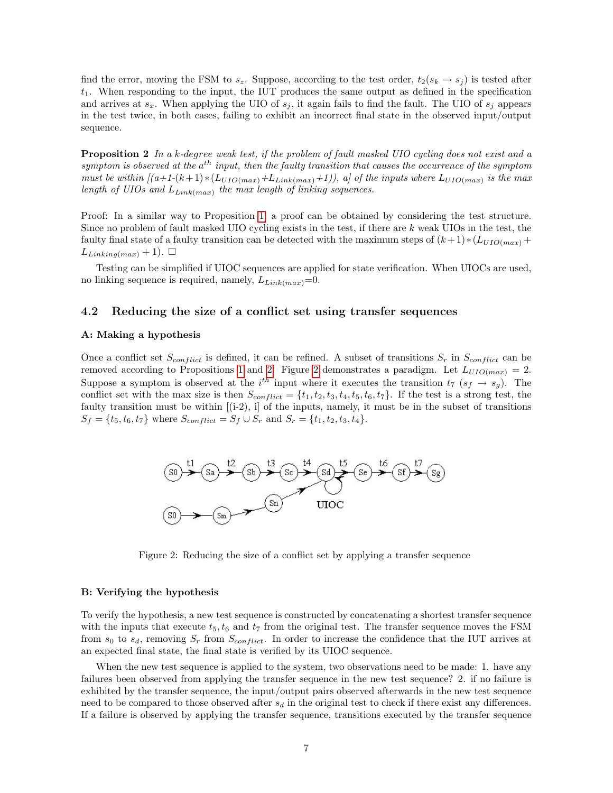find the error, moving the FSM to  $s_z$ . Suppose, according to the test order,  $t_2(s_k \rightarrow s_j)$  is tested after  $t_1$ . When responding to the input, the IUT produces the same output as defined in the specification and arrives at  $s_x$ . When applying the UIO of  $s_j$ , it again fails to find the fault. The UIO of  $s_j$  appears in the test twice, in both cases, failing to exhibit an incorrect final state in the observed input/output sequence.

<span id="page-6-0"></span>Proposition 2 In a k-degree weak test, if the problem of fault masked UIO cycling does not exist and a symptom is observed at the  $a^{th}$  input, then the faulty transition that causes the occurrence of the symptom must be within  $[(a+1-(k+1)*(L_{UIO(max)}+L_{Link(max)}+1)),$  a] of the inputs where  $L_{UIO(max)}$  is the max length of UIOs and  $L_{Link(max)}$  the max length of linking sequences.

Proof: In a similar way to Proposition [1,](#page-5-1) a proof can be obtained by considering the test structure. Since no problem of fault masked UIO cycling exists in the test, if there are  $k$  weak UIOs in the test, the faulty final state of a faulty transition can be detected with the maximum steps of  $(k+1)*(L_{UIO(max)}+$  $L_{Linking(max)} + 1$ .

Testing can be simplified if UIOC sequences are applied for state verification. When UIOCs are used, no linking sequence is required, namely,  $L_{Link(max)}=0$ .

#### 4.2 Reducing the size of a conflict set using transfer sequences

#### A: Making a hypothesis

Once a conflict set  $S_{conflict}$  is defined, it can be refined. A subset of transitions  $S_r$  in  $S_{conflict}$  can be removed according to Propositions [1](#page-5-1) and [2.](#page-6-0) Figure [2](#page-6-1) demonstrates a paradigm. Let  $L_{UIO(max)} = 2$ . Suppose a symptom is observed at the  $i^{th}$  input where it executes the transition  $t_7$  ( $s_f \rightarrow s_g$ ). The conflict set with the max size is then  $S_{conflict} = \{t_1, t_2, t_3, t_4, t_5, t_6, t_7\}$ . If the test is a strong test, the faulty transition must be within [(i-2), i] of the inputs, namely, it must be in the subset of transitions  $S_f = \{t_5, t_6, t_7\}$  where  $S_{conflict} = S_f \cup S_r$  and  $S_r = \{t_1, t_2, t_3, t_4\}.$ 



<span id="page-6-1"></span>Figure 2: Reducing the size of a conflict set by applying a transfer sequence

#### B: Verifying the hypothesis

To verify the hypothesis, a new test sequence is constructed by concatenating a shortest transfer sequence with the inputs that execute  $t_5$ ,  $t_6$  and  $t_7$  from the original test. The transfer sequence moves the FSM from  $s_0$  to  $s_d$ , removing  $S_r$  from  $S_{conflict}$ . In order to increase the confidence that the IUT arrives at an expected final state, the final state is verified by its UIOC sequence.

When the new test sequence is applied to the system, two observations need to be made: 1. have any failures been observed from applying the transfer sequence in the new test sequence? 2. if no failure is exhibited by the transfer sequence, the input/output pairs observed afterwards in the new test sequence need to be compared to those observed after  $s_d$  in the original test to check if there exist any differences. If a failure is observed by applying the transfer sequence, transitions executed by the transfer sequence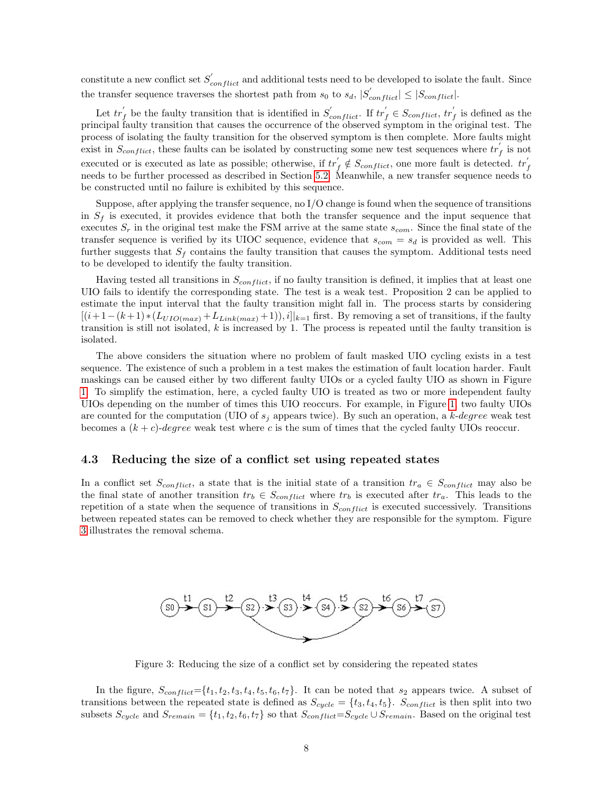constitute a new conflict set  $S'_{conflict}$  and additional tests need to be developed to isolate the fault. Since the transfer sequence traverses the shortest path from  $s_0$  to  $s_d$ ,  $|S'_{conflict}| \leq |S_{conflict}|$ .

Let  $tr'_f$  be the faulty transition that is identified in  $S'_{conflict}$ . If  $tr'_f \in S_{conflict}$ ,  $tr'_f$  is defined as the principal faulty transition that causes the occurrence of the observed symptom in the original test. The process of isolating the faulty transition for the observed symptom is then complete. More faults might exist in  $S_{conflict}$ , these faults can be isolated by constructing some new test sequences where  $tr'_f$  is not executed or is executed as late as possible; otherwise, if  $tr'_f \notin S_{conflict}$ , one more fault is detected.  $tr'_f$ needs to be further processed as described in Section [5.2.](#page-8-1) Meanwhile, a new transfer sequence needs to be constructed until no failure is exhibited by this sequence.

Suppose, after applying the transfer sequence, no I/O change is found when the sequence of transitions in  $S_f$  is executed, it provides evidence that both the transfer sequence and the input sequence that executes  $S_r$  in the original test make the FSM arrive at the same state  $s_{com}$ . Since the final state of the transfer sequence is verified by its UIOC sequence, evidence that  $s_{com} = s_d$  is provided as well. This further suggests that  $S_f$  contains the faulty transition that causes the symptom. Additional tests need to be developed to identify the faulty transition.

Having tested all transitions in  $S_{conflict}$ , if no faulty transition is defined, it implies that at least one UIO fails to identify the corresponding state. The test is a weak test. Proposition 2 can be applied to estimate the input interval that the faulty transition might fall in. The process starts by considering  $[(i+1-(k+1)*(L_{UIO(max)}+L_{Link(max)}+1)),i]|_{k=1}$  first. By removing a set of transitions, if the faulty transition is still not isolated, k is increased by 1. The process is repeated until the faulty transition is isolated.

The above considers the situation where no problem of fault masked UIO cycling exists in a test sequence. The existence of such a problem in a test makes the estimation of fault location harder. Fault maskings can be caused either by two different faulty UIOs or a cycled faulty UIO as shown in Figure [1.](#page-5-0) To simplify the estimation, here, a cycled faulty UIO is treated as two or more independent faulty UIOs depending on the number of times this UIO reoccurs. For example, in Figure [1,](#page-5-0) two faulty UIOs are counted for the computation (UIO of  $s_j$  appears twice). By such an operation, a k-degree weak test becomes a  $(k + c)$ -degree weak test where c is the sum of times that the cycled faulty UIOs reoccur.

### 4.3 Reducing the size of a conflict set using repeated states

In a conflict set  $S_{conflict}$ , a state that is the initial state of a transition  $tr_a \in S_{conflict}$  may also be the final state of another transition  $tr_b \in S_{conflict}$  where  $tr_b$  is executed after  $tr_a$ . This leads to the repetition of a state when the sequence of transitions in  $S_{conflict}$  is executed successively. Transitions between repeated states can be removed to check whether they are responsible for the symptom. Figure [3](#page-7-0) illustrates the removal schema.



<span id="page-7-0"></span>Figure 3: Reducing the size of a conflict set by considering the repeated states

In the figure,  $S_{conflict} = \{t_1, t_2, t_3, t_4, t_5, t_6, t_7\}$ . It can be noted that  $s_2$  appears twice. A subset of transitions between the repeated state is defined as  $S_{cycle} = \{t_3, t_4, t_5\}$ .  $S_{conflict}$  is then split into two subsets  $S_{cycle}$  and  $S_{remain} = \{t_1, t_2, t_6, t_7\}$  so that  $S_{conflict}=S_{cycle} \cup S_{remain}$ . Based on the original test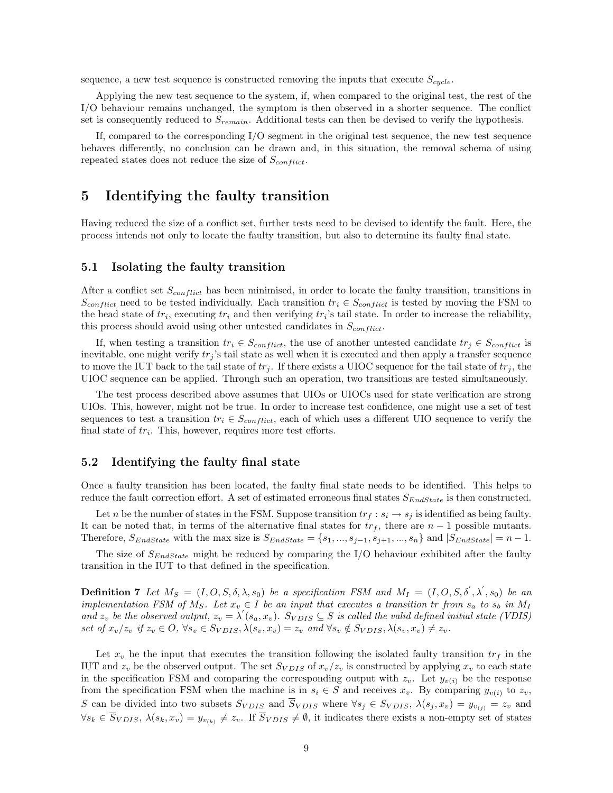sequence, a new test sequence is constructed removing the inputs that execute  $S_{cycle}$ .

Applying the new test sequence to the system, if, when compared to the original test, the rest of the I/O behaviour remains unchanged, the symptom is then observed in a shorter sequence. The conflict set is consequently reduced to  $S_{remain}$ . Additional tests can then be devised to verify the hypothesis.

If, compared to the corresponding I/O segment in the original test sequence, the new test sequence behaves differently, no conclusion can be drawn and, in this situation, the removal schema of using repeated states does not reduce the size of  $S_{conflict}$ .

# <span id="page-8-0"></span>5 Identifying the faulty transition

Having reduced the size of a conflict set, further tests need to be devised to identify the fault. Here, the process intends not only to locate the faulty transition, but also to determine its faulty final state.

#### 5.1 Isolating the faulty transition

After a conflict set  $S_{conflict}$  has been minimised, in order to locate the faulty transition, transitions in  $S_{conflict}$  need to be tested individually. Each transition  $tr_i \in S_{conflict}$  is tested by moving the FSM to the head state of  $tr_i$ , executing  $tr_i$  and then verifying  $tr_i$ 's tail state. In order to increase the reliability, this process should avoid using other untested candidates in  $S_{conflict}$ .

If, when testing a transition  $tr_i \in S_{conflict}$ , the use of another untested candidate  $tr_j \in S_{conflict}$  is inevitable, one might verify  $tr_j$ 's tail state as well when it is executed and then apply a transfer sequence to move the IUT back to the tail state of  $tr_i$ . If there exists a UIOC sequence for the tail state of  $tr_i$ , the UIOC sequence can be applied. Through such an operation, two transitions are tested simultaneously.

The test process described above assumes that UIOs or UIOCs used for state verification are strong UIOs. This, however, might not be true. In order to increase test confidence, one might use a set of test sequences to test a transition  $tr_i \in S_{conflict}$ , each of which uses a different UIO sequence to verify the final state of  $tr_i$ . This, however, requires more test efforts.

### <span id="page-8-1"></span>5.2 Identifying the faulty final state

Once a faulty transition has been located, the faulty final state needs to be identified. This helps to reduce the fault correction effort. A set of estimated erroneous final states  $S_{EndState}$  is then constructed.

Let n be the number of states in the FSM. Suppose transition  $tr_f : s_i \to s_j$  is identified as being faulty. It can be noted that, in terms of the alternative final states for  $tr_f$ , there are  $n-1$  possible mutants. Therefore,  $S_{EndState}$  with the max size is  $S_{EndState} = \{s_1, ..., s_{j-1}, s_{j+1}, ..., s_n\}$  and  $|S_{EndState}| = n-1$ .

The size of  $S_{EndState}$  might be reduced by comparing the I/O behaviour exhibited after the faulty transition in the IUT to that defined in the specification.

**Definition 7** Let  $M_S = (I, O, S, \delta, \lambda, s_0)$  be a specification FSM and  $M_I = (I, O, S, \delta', \lambda', s_0)$  be an implementation FSM of  $M_S$ . Let  $x_v \in I$  be an input that executes a transition tr from  $s_a$  to  $s_b$  in  $M_I$ and  $z_v$  be the observed output,  $z_v = \lambda'(s_a, x_v)$ .  $S_{VDIS} \subseteq S$  is called the valid defined initial state (VDIS) set of  $x_v/z_v$  if  $z_v \in O$ ,  $\forall s_v \in S_{VDIS}$ ,  $\lambda(s_v, x_v) = z_v$  and  $\forall s_v \notin S_{VDIS}$ ,  $\lambda(s_v, x_v) \neq z_v$ .

Let  $x_v$  be the input that executes the transition following the isolated faulty transition  $tr_f$  in the IUT and  $z_v$  be the observed output. The set  $S_{VDIS}$  of  $x_v/z_v$  is constructed by applying  $x_v$  to each state in the specification FSM and comparing the corresponding output with  $z_v$ . Let  $y_{v(i)}$  be the response from the specification FSM when the machine is in  $s_i \in S$  and receives  $x_v$ . By comparing  $y_{v(i)}$  to  $z_v$ , S can be divided into two subsets  $S_{VDIS}$  and  $\overline{S}_{VDIS}$  where  $\forall s_j \in S_{VDIS}$ ,  $\lambda(s_j, x_v) = y_{v_{(j)}} = z_v$  and  $\forall s_k \in \overline{S}_{VDIS}, \ \lambda(s_k, x_v) = y_{v_{(k)}} \neq z_v$ . If  $\overline{S}_{VDIS} \neq \emptyset$ , it indicates there exists a non-empty set of states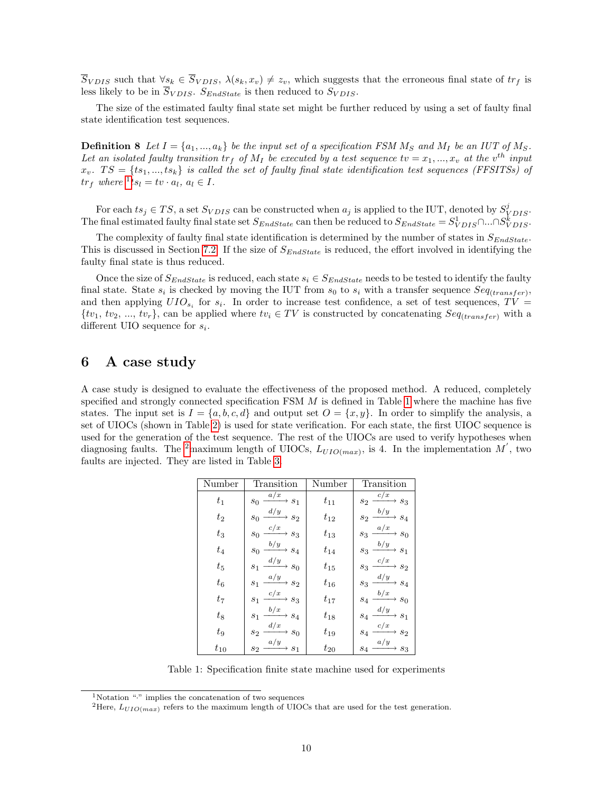$\overline{S}_{VDIS}$  such that  $\forall s_k \in \overline{S}_{VDIS}, \lambda(s_k, x_v) \neq z_v$ , which suggests that the erroneous final state of  $tr_f$  is less likely to be in  $\overline{S}_{VDIS}$ .  $S_{EndState}$  is then reduced to  $S_{VDIS}$ .

The size of the estimated faulty final state set might be further reduced by using a set of faulty final state identification test sequences.

**Definition 8** Let  $I = \{a_1, ..., a_k\}$  be the input set of a specification FSM  $M_S$  and  $M_I$  be an IUT of  $M_S$ . Let an isolated faulty transition  $tr_f$  of  $M_I$  be executed by a test sequence  $tv = x_1, ..., x_v$  at the  $v^{th}$  input  $x_v$ .  $TS = \{ts_1, ..., ts_k\}$  is called the set of faulty final state identification test sequences (FFSITSs) of  $tr_f$  where  ${}^1ts_l = tv \cdot a_l, a_l \in I$  ${}^1ts_l = tv \cdot a_l, a_l \in I$  ${}^1ts_l = tv \cdot a_l, a_l \in I$ .

For each  $ts_j \in TS$ , a set  $S_{VDIS}$  can be constructed when  $a_j$  is applied to the IUT, denoted by  $S_{VDIS}^j$ . The final estimated faulty final state set  $S_{EndState}$  can then be reduced to  $S_{EndState} = S_{VDIS}^1 \cap S_{VDIS}^k$ .

The complexity of faulty final state identification is determined by the number of states in  $S_{EndState}$ . This is discussed in Section [7.2.](#page-13-1) If the size of  $S_{EndState}$  is reduced, the effort involved in identifying the faulty final state is thus reduced.

Once the size of  $S_{EndState}$  is reduced, each state  $s_i \in S_{EndState}$  needs to be tested to identify the faulty final state. State  $s_i$  is checked by moving the IUT from  $s_0$  to  $s_i$  with a transfer sequence  $Seq_{(transfer)}$ , and then applying  $UIO_{s_i}$  for  $s_i$ . In order to increase test confidence, a set of test sequences,  $TV =$  $\{tv_1, tv_2, ..., tv_r\}$ , can be applied where  $tv_i \in TV$  is constructed by concatenating  $Seq_{(transfer)}$  with a different UIO sequence for  $s_i$ .

# <span id="page-9-0"></span>6 A case study

A case study is designed to evaluate the effectiveness of the proposed method. A reduced, completely specified and strongly connected specification FSM  $M$  is defined in Table [1](#page-9-2) where the machine has five states. The input set is  $I = \{a, b, c, d\}$  and output set  $O = \{x, y\}$ . In order to simplify the analysis, a set of UIOCs (shown in Table [2\)](#page-10-0) is used for state verification. For each state, the first UIOC sequence is used for the generation of the test sequence. The rest of the UIOCs are used to verify hypotheses when diagnosing faults. The <sup>[2](#page-9-3)</sup>maximum length of UIOCs,  $L_{UIO(max)}$ , is 4. In the implementation M', two faults are injected. They are listed in Table [3.](#page-10-1)

| Number   | Transition                                                | Number   | Transition                                     |
|----------|-----------------------------------------------------------|----------|------------------------------------------------|
| $t_{1}$  | a/x<br>$\rightarrow$ $s_1$<br>$\sqrt{s_0}$                | $t_{11}$ | c/x<br>$s_2$<br>$\rightarrow$ $s_3$            |
| $t_{2}$  | d/y<br>$\rightarrow$ $s_2$<br>$\sqrt{s_0}$                | $t_{12}$ | b/y<br>$\sqrt{s_4}$<br>$s_2$                   |
| $t_3$    | $\xrightarrow{c/x} s_3$<br>$\sqrt{s_0}$                   | $t_{13}$ | $\frac{a/x}{}$<br>$\rightarrow$ $s_0$<br>$s_3$ |
| $t_4$    | $\xrightarrow{b/y} s_4$<br>$\mathfrak{s}_0$               | $t_{14}$ | $\xrightarrow{b/y} s_1$<br>$\sqrt{s_3}$        |
| $t_{5}$  | $\frac{d/y}{dx}$ s <sub>0</sub><br>s <sub>1</sub>         | $t_{15}$ | $\xrightarrow{c/x} s_2$<br>$s_3$               |
| $t_6$    | $\stackrel{a/y}{\longrightarrow} s_2$<br>$\sqrt{s_{1}}$   | $t_{16}$ | $\xrightarrow{d/y} s_4$<br>$\sqrt{s_3}$        |
| $t_{7}$  | $\frac{c/x}{\longrightarrow} s_3$<br>$\sqrt{s_{1}}$       | $t_{17}$ | $\frac{b/x}{a}$ $s_0$<br>$s_4$                 |
| $t_8$    | $\frac{b/x}{\longrightarrow}$ $s_4$<br>$s_1$              | $t_{18}$ | $d/y$<br>$\rightarrow$ $s_1$<br>$\sqrt{s_4}$   |
| $t_{9}$  | $\xrightarrow{d/x} s_0$<br>$\mathfrak{s}_2$               | $t_{19}$ | c/x<br>$\sqrt{s_4}$<br>$+ s_2$                 |
| $t_{10}$ | $\stackrel{a/y}{\longrightarrow} s_1$<br>$\mathfrak{s}_2$ | $t_{20}$ | $\xrightarrow{a/y} s_3$<br>$\sqrt{s_4}$        |

<span id="page-9-2"></span>Table 1: Specification finite state machine used for experiments

<span id="page-9-1"></span><sup>1</sup>Notation "·" implies the concatenation of two sequences

<span id="page-9-3"></span><sup>&</sup>lt;sup>2</sup>Here,  $L_{UIO(max)}$  refers to the maximum length of UIOCs that are used for the test generation.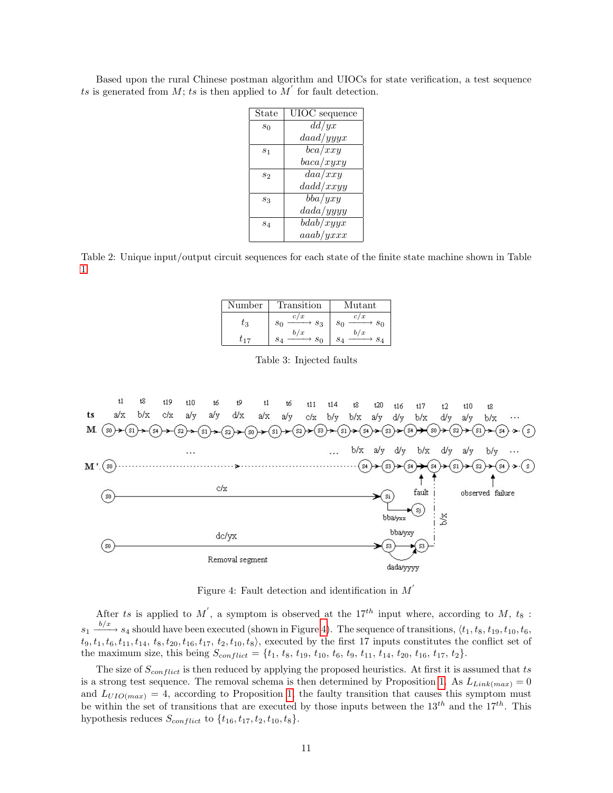| State | UIOC sequence |  |
|-------|---------------|--|
| $s_0$ | dd/yx         |  |
|       | daad/yyyx     |  |
| $s_1$ | bca/xxy       |  |
|       | baca/xyxy     |  |
| $s_2$ | daa/xxy       |  |
|       | dadd/xxyy     |  |
| $s_3$ | bba/ yxy      |  |
|       | dada/yyyy     |  |
| $s_4$ | bdab/xyyx     |  |
|       | aaab/yxxx     |  |

Based upon the rural Chinese postman algorithm and UIOCs for state verification, a test sequence ts is generated from M; ts is then applied to  $\overline{M}'$  for fault detection.

<span id="page-10-0"></span>Table 2: Unique input/output circuit sequences for each state of the finite state machine shown in Table [1.](#page-9-2)

| Number    | Transition            | $\operatorname{Mutant}$ |
|-----------|-----------------------|-------------------------|
| $\iota_3$ | c/x<br>$S_3$<br>$s_0$ | c/x<br>$s_0$<br>$s_0$   |
| $t_{17}$  | b/x<br>$s_0$          | b/x<br>$S_{\Delta}$     |

<span id="page-10-1"></span>Table 3: Injected faults



<span id="page-10-2"></span>Figure 4: Fault detection and identification in  $M'$ 

After ts is applied to M', a symptom is observed at the 17<sup>th</sup> input where, according to M, t<sub>8</sub>:  $s_1 \xrightarrow{b/x} s_4$  should have been executed (shown in Figure [4\)](#page-10-2). The sequence of transitions,  $\langle t_1, t_8, t_{19}, t_{10}, t_6, t_{10} \rangle$  $t_9, t_1, t_6, t_{11}, t_{14}, t_8, t_{20}, t_{16}, t_{17}, t_2, t_{10}, t_8$ , executed by the first 17 inputs constitutes the conflict set of the maximum size, this being  $S_{conflict} = \{t_1, t_8, t_{19}, t_{10}, t_6, t_9, t_{11}, t_{14}, t_{20}, t_{16}, t_{17}, t_2\}.$ 

The size of  $S_{conflict}$  is then reduced by applying the proposed heuristics. At first it is assumed that ts is a strong test sequence. The removal schema is then determined by Proposition [1.](#page-5-1) As  $L_{Link(max)} = 0$ and  $L_{UIO(max)} = 4$ , according to Proposition [1,](#page-5-1) the faulty transition that causes this symptom must be within the set of transitions that are executed by those inputs between the  $13^{th}$  and the  $17^{th}$ . This hypothesis reduces  $S_{conflict}$  to  $\{t_{16}, t_{17}, t_2, t_{10}, t_8\}.$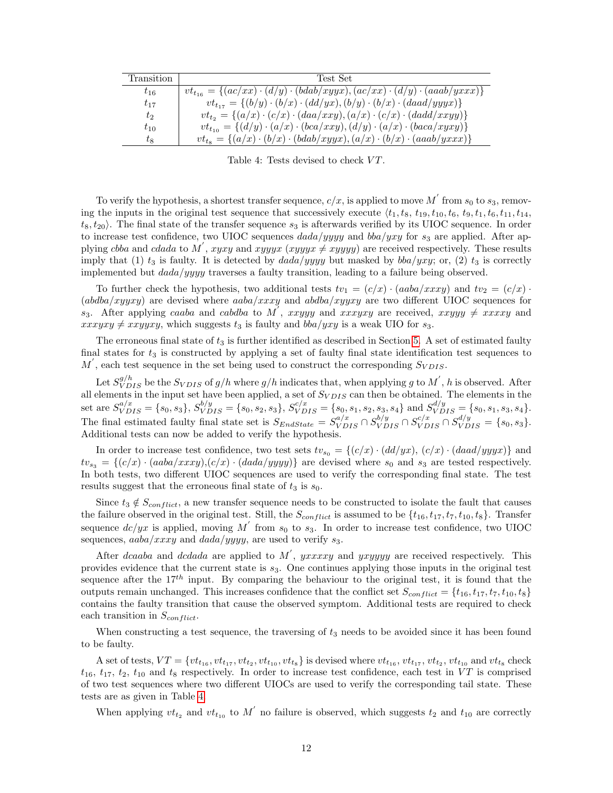| Transition | Test Set                                                                                          |
|------------|---------------------------------------------------------------------------------------------------|
| $t_{16}$   | $vt_{t_{16}} = \{(ac/xx) \cdot (d/y) \cdot (bdab/xyyx), (ac/xx) \cdot (d/y) \cdot (aaab/yxxx)\}\$ |
| $t_{17}$   | $vt_{t_{17}} = \{(b/y) \cdot (b/x) \cdot (dd/yx), (b/y) \cdot (b/x) \cdot (daad/yyyx)\}\$         |
| $t_2$      | $vt_{t_2} = \{(a/x) \cdot (c/x) \cdot (daa/xxy), (a/x) \cdot (c/x) \cdot (dadd/xxyy)\}\$          |
| $t_{10}$   | $vt_{t_{10}} = \{(d/y) \cdot (a/x) \cdot (bca/xxy), (d/y) \cdot (a/x) \cdot (baca/xyxy)\}$        |
| $t_8$      | $vt_{ts} = \{(a/x) \cdot (b/x) \cdot (bdab/xyyx), (a/x) \cdot (b/x) \cdot (aaab/yxxx)\}\$         |

<span id="page-11-0"></span>Table 4: Tests devised to check  $VT$ .

To verify the hypothesis, a shortest transfer sequence,  $c/x$ , is applied to move  $M^{'}$  from  $s_0$  to  $s_3$ , removing the inputs in the original test sequence that successively execute  $\langle t_1, t_8, t_{19}, t_0, t_6, t_9, t_1, t_6, t_{11}, t_{14}, t_{15}, t_{16}, t_{17}, t_{18}, t_{19}, t_{10}, t_{10}, t_{10}, t_{10}, t_{11}, t_{10}, t_{11}, t_{12}, t_{13}, t_{14}, t_{15}, t_{16}, t_{17}, t_{18}, t_{19}, t_{10$  $t_8, t_{20}$ . The final state of the transfer sequence  $s_3$  is afterwards verified by its UIOC sequence. In order to increase test confidence, two UIOC sequences  $dada/yyyy$  and  $bba/yxy$  for  $s_3$  are applied. After applying cbba and cdada to M', xyxy and xyyyx (xyyyx  $\neq$  xyyyy) are received respectively. These results imply that (1)  $t_3$  is faulty. It is detected by  $dada/yyyy$  but masked by  $bba/yy$ ; or, (2)  $t_3$  is correctly implemented but  $dada/yyyy$  traverses a faulty transition, leading to a failure being observed.

To further check the hypothesis, two additional tests  $tv_1 = (c/x) \cdot (aaba/xxxy)$  and  $tv_2 = (c/x) \cdot (a^2 - b^2)$ (abdba/xyyxy) are devised where  $aaba/xxxy$  and  $ababa/xyyxy$  are two different UIOC sequences for  $s_3$ . After applying caaba and cabdba to M', xxyyy and xxxyxy are received, xxyyy  $\neq$  xxxxy and  $xxxyxy \neq xxyyxy$ , which suggests  $t_3$  is faulty and  $bba/yxy$  is a weak UIO for  $s_3$ .

The erroneous final state of  $t_3$  is further identified as described in Section [5.](#page-8-0) A set of estimated faulty final states for  $t_3$  is constructed by applying a set of faulty final state identification test sequences to  $M'$ , each test sequence in the set being used to construct the corresponding  $S_{VDIS}$ .

Let  $S_{VDIS}^{g/h}$  be the  $S_{VDIS}$  of  $g/h$  where  $g/h$  indicates that, when applying g to  $M^{'}$ , h is observed. After all elements in the input set have been applied, a set of  $S_{VDIS}$  can then be obtained. The elements in the set are  $S_{VDIS}^{a/x} = \{s_0, s_3\}, S_{VDIS}^{b/y} = \{s_0, s_2, s_3\}, S_{VDIS}^{c/x} = \{s_0, s_1, s_2, s_3, s_4\}$  and  $S_{VDIS}^{d/y} = \{s_0, s_1, s_3, s_4\}.$ The final estimated faulty final state set is  $S_{EndState} = S_{VDIS}^{a/x} \cap S_{VDIS}^{b/y} \cap S_{VDIS}^{c/x} \cap S_{VDIS}^{d/y} = \{s_0, s_3\}.$ Additional tests can now be added to verify the hypothesis.

In order to increase test confidence, two test sets  $tv_{s_0} = \{(c/x) \cdot (dd/yx), (c/x) \cdot (daad/yyyx)\}\$ and  $tv_{s_3} = \{(c/x) \cdot (aaba/xxxy), (c/x) \cdot (dada/yyyy)\}\$ are devised where  $s_0$  and  $s_3$  are tested respectively. In both tests, two different UIOC sequences are used to verify the corresponding final state. The test results suggest that the erroneous final state of  $t_3$  is  $s_0$ .

Since  $t_3 \notin S_{conflict}$ , a new transfer sequence needs to be constructed to isolate the fault that causes the failure observed in the original test. Still, the  $S_{conflict}$  is assumed to be  $\{t_{16}, t_{17}, t_7, t_{10}, t_8\}$ . Transfer sequence  $dc/yx$  is applied, moving M' from  $s_0$  to  $s_3$ . In order to increase test confidence, two UIOC sequences,  $aaba/xxxy$  and  $dada/yyyy$ , are used to verify  $s_3$ .

After dcaaba and dcdada are applied to M', yxxxxy and yxyyyy are received respectively. This provides evidence that the current state is  $s_3$ . One continues applying those inputs in the original test sequence after the  $17^{th}$  input. By comparing the behaviour to the original test, it is found that the outputs remain unchanged. This increases confidence that the conflict set  $S_{conflict} = \{t_{16}, t_{17}, t_7, t_{10}, t_8\}$ contains the faulty transition that cause the observed symptom. Additional tests are required to check each transition in  $S_{conflict}$ .

When constructing a test sequence, the traversing of  $t_3$  needs to be avoided since it has been found to be faulty.

A set of tests,  $VT = \{vt_{t_{16}}, vt_{t_{17}}, vt_{t_2}, vt_{t_{10}}, vt_{t_8}\}$  is devised where  $vt_{t_{16}}, vt_{t_{17}}, vt_{t_2}, vt_{t_{10}}$  and  $vt_{t_8}$  check  $t_{16}$ ,  $t_{17}$ ,  $t_2$ ,  $t_{10}$  and  $t_8$  respectively. In order to increase test confidence, each test in VT is comprised of two test sequences where two different UIOCs are used to verify the corresponding tail state. These tests are as given in Table [4.](#page-11-0)

When applying  $vt_{t_2}$  and  $vt_{t_{10}}$  to M' no failure is observed, which suggests  $t_2$  and  $t_{10}$  are correctly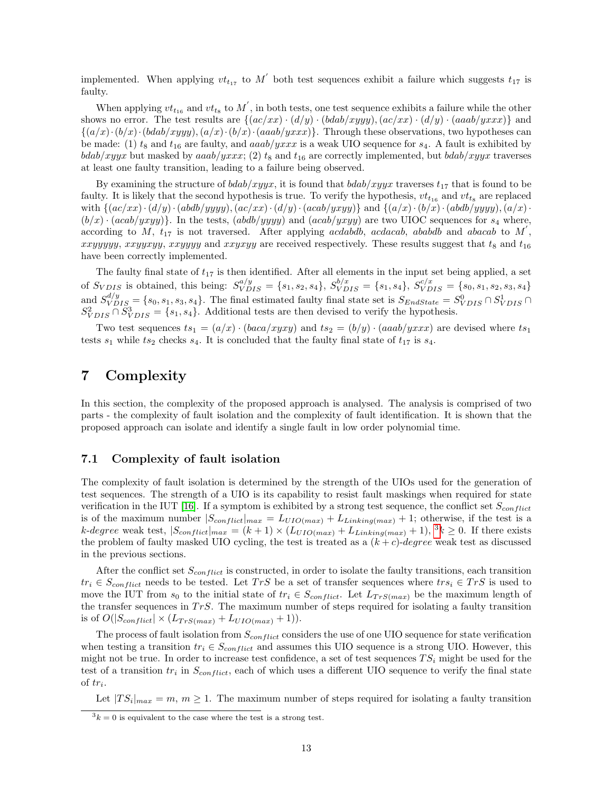implemented. When applying  $vt_{t_{17}}$  to  $M'$  both test sequences exhibit a failure which suggests  $t_{17}$  is faulty.

When applying  $vt_{t_{16}}$  and  $vt_{t_8}$  to  $M'$ , in both tests, one test sequence exhibits a failure while the other shows no error. The test results are  $\{(ac/xx) \cdot (d/y) \cdot (b dab/xyyy), (ac/xx) \cdot (d/y) \cdot (aaab/yxxx)\}$  and  $\{(a/x)\cdot(b/x)\cdot(bdab/xyyy), (a/x)\cdot(b/x)\cdot(aaab/yxxx)\}.$  Through these observations, two hypotheses can be made: (1)  $t_8$  and  $t_{16}$  are faulty, and aaab/yxxx is a weak UIO sequence for  $s_4$ . A fault is exhibited by  $bdab/xyyx$  but masked by  $aaab/yxxx$ ; (2)  $t_8$  and  $t_{16}$  are correctly implemented, but  $bdab/xyyx$  traverses at least one faulty transition, leading to a failure being observed.

By examining the structure of  $bdab/xyyx$ , it is found that  $bdab/xyyx$  traverses  $t_{17}$  that is found to be faulty. It is likely that the second hypothesis is true. To verify the hypothesis,  $vt_{t_{16}}$  and  $vt_{t_8}$  are replaced with  $\{(ac/xx)\cdot(d/y)\cdot(abdb/yyyy), (ac/xx)\cdot(d/y)\cdot(acab/xyxy)\}\$  and  $\{(a/x)\cdot(b/x)\cdot(abdb/yyyy), (a/x)\cdot(cdy)$  $(b/x) \cdot (acab/xyxy)$ . In the tests,  $(abdb/yyyy)$  and  $(acab/xyxy)$  are two UIOC sequences for  $s<sub>4</sub>$  where, according to  $M$ ,  $t_{17}$  is not traversed. After applying acdabdb, acdacab, ababdb and abacab to  $M'$ , xxyyyyy, xxyyxyy, xxyyyy and xxyxyy are received respectively. These results suggest that  $t_8$  and  $t_{16}$ have been correctly implemented.

The faulty final state of  $t_{17}$  is then identified. After all elements in the input set being applied, a set of  $S_{VDIS}$  is obtained, this being:  $S_{VDIS}^{a/y} = \{s_1, s_2, s_4\}, S_{VDIS}^{b/x} = \{s_1, s_4\}, S_{VDIS}^{c/x} = \{s_0, s_1, s_2, s_3, s_4\}$ and  $S_{VDIS}^{d/y} = \{s_0, s_1, s_3, s_4\}$ . The final estimated faulty final state set is  $S_{EndState} = S_{VDIS}^0 \cap S_{VDIS}^1 \cap S_{VDIS}^1$  $S_{VDIS}^2 \cap \tilde{S}_{VDIS}^3 = \{s_1, s_4\}.$  Additional tests are then devised to verify the hypothesis.

Two test sequences  $ts_1 = (a/x) \cdot (baca/xyxy)$  and  $ts_2 = (b/y) \cdot (aaa b/yxxx)$  are devised where  $ts_1$ tests  $s_1$  while  $ts_2$  checks  $s_4$ . It is concluded that the faulty final state of  $t_{17}$  is  $s_4$ .

# <span id="page-12-0"></span>7 Complexity

In this section, the complexity of the proposed approach is analysed. The analysis is comprised of two parts - the complexity of fault isolation and the complexity of fault identification. It is shown that the proposed approach can isolate and identify a single fault in low order polynomial time.

### 7.1 Complexity of fault isolation

The complexity of fault isolation is determined by the strength of the UIOs used for the generation of test sequences. The strength of a UIO is its capability to resist fault maskings when required for state verification in the IUT [\[16\]](#page-14-15). If a symptom is exhibited by a strong test sequence, the conflict set  $S_{conflict}$ is of the maximum number  $|S_{conflict}|_{max} = L_{UIO(max)} + L_{Linking(max)} + 1$ ; otherwise, if the test is a k-degree weak test,  $|S_{conflict}|_{max} = (k+1) \times (L_{UIO(max)} + L_{Linking(max)} + 1),$  <sup>[3](#page-12-1)</sup> $k \ge 0$ . If there exists the problem of faulty masked UIO cycling, the test is treated as a  $(k + c)$ -degree weak test as discussed in the previous sections.

After the conflict set  $S_{conflict}$  is constructed, in order to isolate the faulty transitions, each transition  $tr_i \in S_{conflict}$  needs to be tested. Let TrS be a set of transfer sequences where  $trs_i \in TrS$  is used to move the IUT from  $s_0$  to the initial state of  $tr_i \in S_{conflict}$ . Let  $L_{TrS(max)}$  be the maximum length of the transfer sequences in  $TrS$ . The maximum number of steps required for isolating a faulty transition is of  $O(|S_{conflict}| \times (L_{TrS(max)} + L_{UIO(max)} + 1)).$ 

The process of fault isolation from  $S_{conflict}$  considers the use of one UIO sequence for state verification when testing a transition  $tr_i \in S_{conflict}$  and assumes this UIO sequence is a strong UIO. However, this might not be true. In order to increase test confidence, a set of test sequences  $TS_i$  might be used for the test of a transition  $tr_i$  in  $S_{conflict}$ , each of which uses a different UIO sequence to verify the final state of  $tr_i$ .

Let  $|TS_i|_{max} = m, m \ge 1$ . The maximum number of steps required for isolating a faulty transition

<span id="page-12-1"></span> $3k = 0$  is equivalent to the case where the test is a strong test.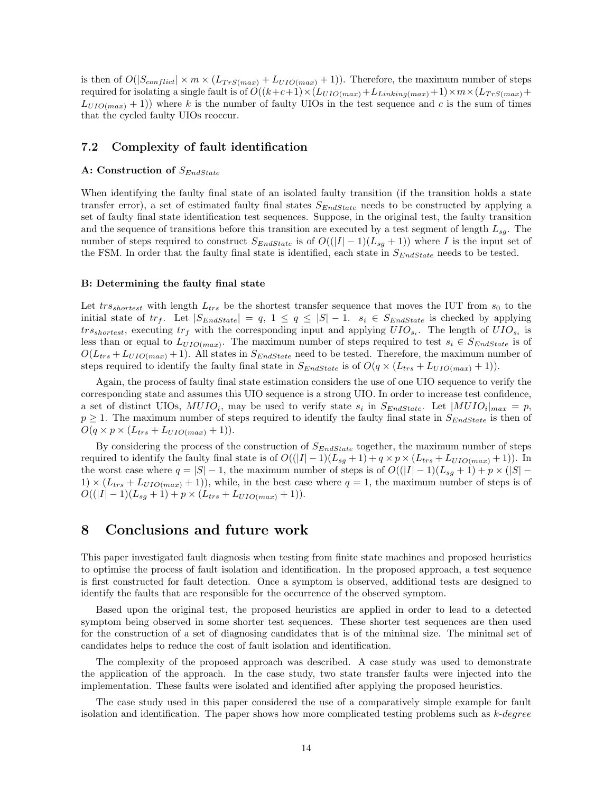is then of  $O(|S_{conflict}| \times m \times (L_{TrS(max)} + L_{UIO(max)} + 1)$ . Therefore, the maximum number of steps required for isolating a single fault is of  $O((k+c+1) \times (L_{UIO(max)}+L_{Linking(max)}+1) \times m \times (L_{TrS(max)}+L_{L1}+L_{Linking(max)}+1)$  $L_{UIO(max)}$  + 1)) where k is the number of faulty UIOs in the test sequence and c is the sum of times that the cycled faulty UIOs reoccur.

### <span id="page-13-1"></span>7.2 Complexity of fault identification

## A: Construction of  $S_{EndState}$

When identifying the faulty final state of an isolated faulty transition (if the transition holds a state transfer error), a set of estimated faulty final states  $S_{EndState}$  needs to be constructed by applying a set of faulty final state identification test sequences. Suppose, in the original test, the faulty transition and the sequence of transitions before this transition are executed by a test segment of length  $L_{sa}$ . The number of steps required to construct  $S_{EndState}$  is of  $O((|I|-1)(L_{sg}+1))$  where I is the input set of the FSM. In order that the faulty final state is identified, each state in  $S_{EndState}$  needs to be tested.

#### B: Determining the faulty final state

Let  $trs_{shortest}$  with length  $L_{trs}$  be the shortest transfer sequence that moves the IUT from  $s_0$  to the initial state of  $tr_f$ . Let  $|S_{EndState}| = q$ ,  $1 \le q \le |S|-1$ .  $s_i \in S_{EndState}$  is checked by applying  $trs_{shortest}$ , executing  $tr_f$  with the corresponding input and applying  $UIO_{s_i}$ . The length of  $UIO_{s_i}$  is less than or equal to  $L_{UIO(max)}$ . The maximum number of steps required to test  $s_i \in S_{EndState}$  is of  $O(L_{trs}+L_{UIO(max)}+1)$ . All states in  $S_{EndState}$  need to be tested. Therefore, the maximum number of steps required to identify the faulty final state in  $S_{Endstate}$  is of  $O(q \times (L_{trs} + L_{UIO(max)}) + 1)$ .

Again, the process of faulty final state estimation considers the use of one UIO sequence to verify the corresponding state and assumes this UIO sequence is a strong UIO. In order to increase test confidence, a set of distinct UIOs,  $MUIO_i$ , may be used to verify state  $s_i$  in  $S_{EndState}$ . Let  $|MUIO_i|_{max} = p$ ,  $p \geq 1$ . The maximum number of steps required to identify the faulty final state in  $S_{EndState}$  is then of  $O(q \times p \times (L_{trs} + L_{UIO(max)} + 1)).$ 

By considering the process of the construction of  $S_{EndState}$  together, the maximum number of steps required to identify the faulty final state is of  $O((|I|-1)(L_{sg}+1) + q \times p \times (L_{trs} + L_{UIO(max)} + 1)).$  In the worst case where  $q = |S| - 1$ , the maximum number of steps is of  $O((|I| - 1)(L_{sg} + 1) + p \times (|S| - 1))$  $1) \times (L_{trs} + L_{UIO(max)} + 1)$ , while, in the best case where  $q = 1$ , the maximum number of steps is of  $O((|I| - 1)(L_{sg} + 1) + p \times (L_{trs} + L_{UIO(max)} + 1)).$ 

# <span id="page-13-0"></span>8 Conclusions and future work

This paper investigated fault diagnosis when testing from finite state machines and proposed heuristics to optimise the process of fault isolation and identification. In the proposed approach, a test sequence is first constructed for fault detection. Once a symptom is observed, additional tests are designed to identify the faults that are responsible for the occurrence of the observed symptom.

Based upon the original test, the proposed heuristics are applied in order to lead to a detected symptom being observed in some shorter test sequences. These shorter test sequences are then used for the construction of a set of diagnosing candidates that is of the minimal size. The minimal set of candidates helps to reduce the cost of fault isolation and identification.

The complexity of the proposed approach was described. A case study was used to demonstrate the application of the approach. In the case study, two state transfer faults were injected into the implementation. These faults were isolated and identified after applying the proposed heuristics.

The case study used in this paper considered the use of a comparatively simple example for fault isolation and identification. The paper shows how more complicated testing problems such as  $k$ -degree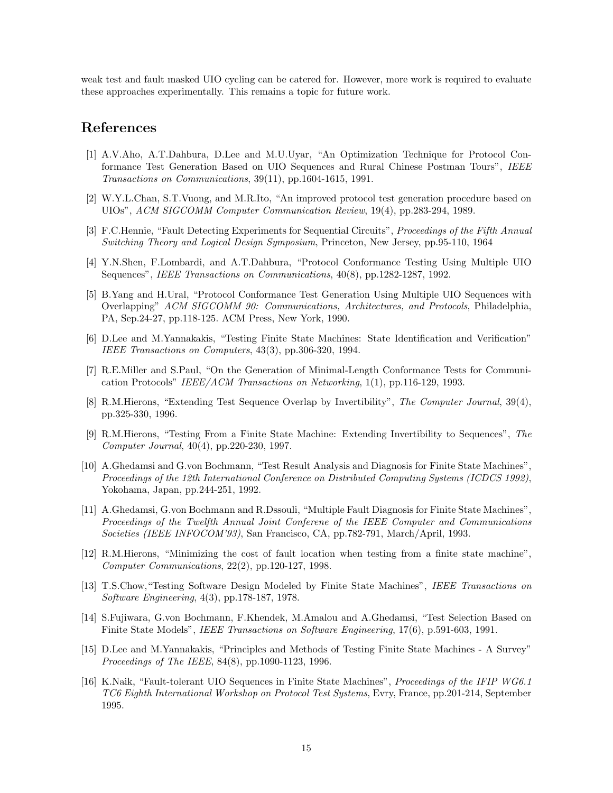weak test and fault masked UIO cycling can be catered for. However, more work is required to evaluate these approaches experimentally. This remains a topic for future work.

# References

- <span id="page-14-0"></span>[1] A.V.Aho, A.T.Dahbura, D.Lee and M.U.Uyar, "An Optimization Technique for Protocol Conformance Test Generation Based on UIO Sequences and Rural Chinese Postman Tours", IEEE Transactions on Communications, 39(11), pp.1604-1615, 1991.
- <span id="page-14-1"></span>[2] W.Y.L.Chan, S.T.Vuong, and M.R.Ito, "An improved protocol test generation procedure based on UIOs", ACM SIGCOMM Computer Communication Review, 19(4), pp.283-294, 1989.
- <span id="page-14-2"></span>[3] F.C.Hennie, "Fault Detecting Experiments for Sequential Circuits", Proceedings of the Fifth Annual Switching Theory and Logical Design Symposium, Princeton, New Jersey, pp.95-110, 1964
- <span id="page-14-3"></span>[4] Y.N.Shen, F.Lombardi, and A.T.Dahbura, "Protocol Conformance Testing Using Multiple UIO Sequences", IEEE Transactions on Communications, 40(8), pp.1282-1287, 1992.
- <span id="page-14-4"></span>[5] B.Yang and H.Ural, "Protocol Conformance Test Generation Using Multiple UIO Sequences with Overlapping" ACM SIGCOMM 90: Communications, Architectures, and Protocols, Philadelphia, PA, Sep.24-27, pp.118-125. ACM Press, New York, 1990.
- <span id="page-14-5"></span>[6] D.Lee and M.Yannakakis, "Testing Finite State Machines: State Identification and Verification" IEEE Transactions on Computers, 43(3), pp.306-320, 1994.
- <span id="page-14-6"></span>[7] R.E.Miller and S.Paul, "On the Generation of Minimal-Length Conformance Tests for Communication Protocols" IEEE/ACM Transactions on Networking, 1(1), pp.116-129, 1993.
- <span id="page-14-7"></span>[8] R.M.Hierons, "Extending Test Sequence Overlap by Invertibility", The Computer Journal, 39(4), pp.325-330, 1996.
- <span id="page-14-8"></span>[9] R.M.Hierons, "Testing From a Finite State Machine: Extending Invertibility to Sequences", The Computer Journal, 40(4), pp.220-230, 1997.
- <span id="page-14-9"></span>[10] A.Ghedamsi and G.von Bochmann, "Test Result Analysis and Diagnosis for Finite State Machines", Proceedings of the 12th International Conference on Distributed Computing Systems (ICDCS 1992), Yokohama, Japan, pp.244-251, 1992.
- <span id="page-14-10"></span>[11] A.Ghedamsi, G.von Bochmann and R.Dssouli, "Multiple Fault Diagnosis for Finite State Machines", Proceedings of the Twelfth Annual Joint Conferene of the IEEE Computer and Communications Societies (IEEE INFOCOM'93), San Francisco, CA, pp.782-791, March/April, 1993.
- <span id="page-14-11"></span>[12] R.M.Hierons, "Minimizing the cost of fault location when testing from a finite state machine", Computer Communications, 22(2), pp.120-127, 1998.
- <span id="page-14-12"></span>[13] T.S.Chow,"Testing Software Design Modeled by Finite State Machines", IEEE Transactions on Software Engineering, 4(3), pp.178-187, 1978.
- <span id="page-14-13"></span>[14] S.Fujiwara, G.von Bochmann, F.Khendek, M.Amalou and A.Ghedamsi, "Test Selection Based on Finite State Models", IEEE Transactions on Software Engineering, 17(6), p.591-603, 1991.
- <span id="page-14-14"></span>[15] D.Lee and M.Yannakakis, "Principles and Methods of Testing Finite State Machines - A Survey" Proceedings of The IEEE, 84(8), pp.1090-1123, 1996.
- <span id="page-14-15"></span>[16] K.Naik, "Fault-tolerant UIO Sequences in Finite State Machines", Proceedings of the IFIP WG6.1 TC6 Eighth International Workshop on Protocol Test Systems, Evry, France, pp.201-214, September 1995.